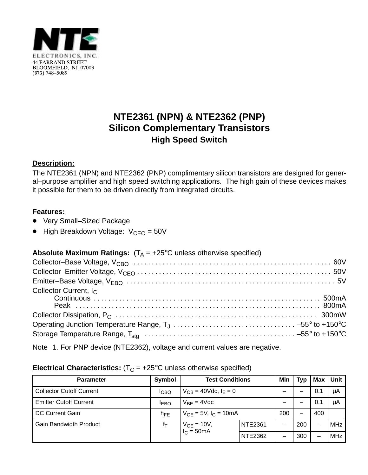

# **NTE2361 (NPN) & NTE2362 (PNP) Silicon Complementary Transistors High Speed Switch**

### **Description:**

The NTE2361 (NPN) and NTE2362 (PNP) complimentary silicon transistors are designed for general–purpose amplifier and high speed switching applications. The high gain of these devices makes it possible for them to be driven directly from integrated circuits.

#### **Features:**

- Very Small-Sized Package
- $\bullet$  High Breakdown Voltage:  $V_{\text{CEO}} = 50V$

## **Absolute Maximum Ratings:**  $(T_A = +25^{\circ}C$  unless otherwise specified)

Note 1. For PNP device (NTE2362), voltage and current values are negative.

#### **Electrical Characteristics:**  $(T_C = +25^{\circ}C$  unless otherwise specified)

| <b>Parameter</b>                | Symbol           | <b>Test Conditions</b>          |                | Min     | <b>Typ</b> | Max | <b>Unit</b> |            |
|---------------------------------|------------------|---------------------------------|----------------|---------|------------|-----|-------------|------------|
| <b>Collector Cutoff Current</b> | <sup>I</sup> CBO | $V_{CB} = 40$ Vdc, $I_F = 0$    |                |         |            | 0.1 | μA          |            |
| <b>Emitter Cutoff Current</b>   | <b>IEBO</b>      | $V_{BF} = 4Vdc$                 |                | –       |            | 0.1 | μA          |            |
| DC Current Gain                 | $n_{FE}$         | $V_{CF} = 5V$ , $I_C = 10mA$    |                | 200     | –          | 400 |             |            |
| <b>Gain Bandwidth Product</b>   | Ιт               | $V_{CE} = 10V,$<br>$I_C = 50mA$ |                | NTE2361 | —          | 200 | —           | <b>MHz</b> |
|                                 |                  |                                 | <b>NTE2362</b> | -       | 300        | —   | <b>MHz</b>  |            |